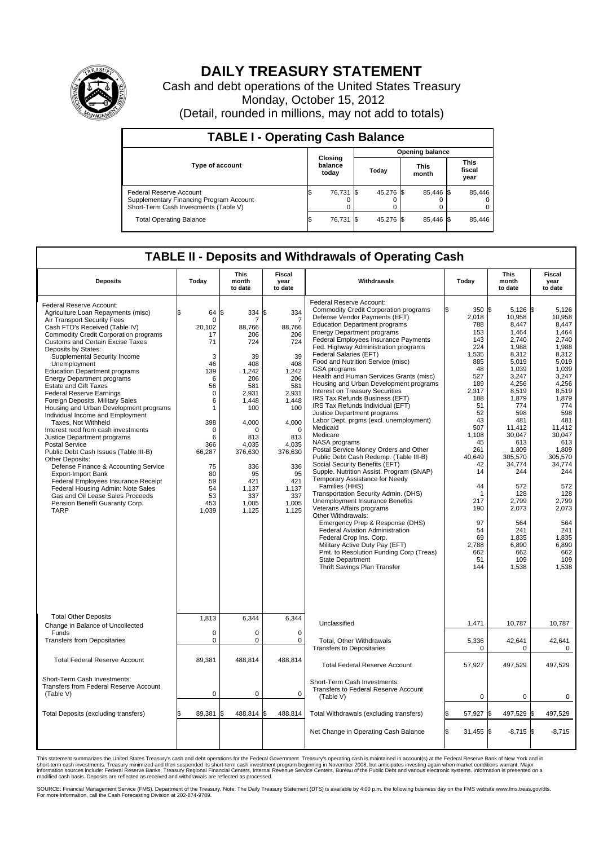

## **DAILY TREASURY STATEMENT**

Cash and debt operations of the United States Treasury Monday, October 15, 2012 (Detail, rounded in millions, may not add to totals)

| <b>TABLE I - Operating Cash Balance</b>                                                                     |                             |        |       |                        |                      |           |                               |        |  |  |
|-------------------------------------------------------------------------------------------------------------|-----------------------------|--------|-------|------------------------|----------------------|-----------|-------------------------------|--------|--|--|
|                                                                                                             |                             |        |       | <b>Opening balance</b> |                      |           |                               |        |  |  |
| Type of account                                                                                             | Closing<br>balance<br>today |        | Today |                        | <b>This</b><br>month |           | <b>This</b><br>fiscal<br>year |        |  |  |
| Federal Reserve Account<br>Supplementary Financing Program Account<br>Short-Term Cash Investments (Table V) |                             | 76,731 |       | 45,276 \$              |                      | 85,446 \$ |                               | 85,446 |  |  |
| <b>Total Operating Balance</b>                                                                              |                             | 76,731 |       | 45.276 \$              |                      | 85.446 \$ |                               | 85,446 |  |  |

## **TABLE II - Deposits and Withdrawals of Operating Cash**

| <b>Deposits</b>                                                                                                                                                                                                                                                                                                                                                                                                                                                                                                                                                                                                                                                                                                                                                                                                                                                                                                                                                                             | Today                                                                                                                                                                      | <b>This</b><br>month<br>to date                                                                                                                                                                     | <b>Fiscal</b><br>year<br>to date                                                                                                                                                                              | Withdrawals                                                                                                                                                                                                                                                                                                                                                                                                                                                                                                                                                                                                                                                                                                                                                                                                                                                                                                                                                                                                                                                                                                                                                                                                                                                       | Today                                                                                                                                                                                                                                              | This<br>month<br>to date                                                                                                                                                                                                                                                                            | Fiscal<br>year<br>to date                                                                                                                                                                                                                                                                      |  |  |
|---------------------------------------------------------------------------------------------------------------------------------------------------------------------------------------------------------------------------------------------------------------------------------------------------------------------------------------------------------------------------------------------------------------------------------------------------------------------------------------------------------------------------------------------------------------------------------------------------------------------------------------------------------------------------------------------------------------------------------------------------------------------------------------------------------------------------------------------------------------------------------------------------------------------------------------------------------------------------------------------|----------------------------------------------------------------------------------------------------------------------------------------------------------------------------|-----------------------------------------------------------------------------------------------------------------------------------------------------------------------------------------------------|---------------------------------------------------------------------------------------------------------------------------------------------------------------------------------------------------------------|-------------------------------------------------------------------------------------------------------------------------------------------------------------------------------------------------------------------------------------------------------------------------------------------------------------------------------------------------------------------------------------------------------------------------------------------------------------------------------------------------------------------------------------------------------------------------------------------------------------------------------------------------------------------------------------------------------------------------------------------------------------------------------------------------------------------------------------------------------------------------------------------------------------------------------------------------------------------------------------------------------------------------------------------------------------------------------------------------------------------------------------------------------------------------------------------------------------------------------------------------------------------|----------------------------------------------------------------------------------------------------------------------------------------------------------------------------------------------------------------------------------------------------|-----------------------------------------------------------------------------------------------------------------------------------------------------------------------------------------------------------------------------------------------------------------------------------------------------|------------------------------------------------------------------------------------------------------------------------------------------------------------------------------------------------------------------------------------------------------------------------------------------------|--|--|
| Federal Reserve Account:<br>Agriculture Loan Repayments (misc)<br>Air Transport Security Fees<br>Cash FTD's Received (Table IV)<br><b>Commodity Credit Corporation programs</b><br><b>Customs and Certain Excise Taxes</b><br>Deposits by States:<br>Supplemental Security Income<br>Unemployment<br><b>Education Department programs</b><br><b>Energy Department programs</b><br><b>Estate and Gift Taxes</b><br><b>Federal Reserve Earnings</b><br>Foreign Deposits, Military Sales<br>Housing and Urban Development programs<br>Individual Income and Employment<br>Taxes. Not Withheld<br>Interest recd from cash investments<br>Justice Department programs<br><b>Postal Service</b><br>Public Debt Cash Issues (Table III-B)<br>Other Deposits:<br>Defense Finance & Accounting Service<br><b>Export-Import Bank</b><br>Federal Employees Insurance Receipt<br>Federal Housing Admin: Note Sales<br>Gas and Oil Lease Sales Proceeds<br>Pension Benefit Guaranty Corp.<br><b>TARP</b> | l\$<br>64<br>0<br>20,102<br>17<br>71<br>3<br>46<br>139<br>6<br>56<br>$\mathbf 0$<br>6<br>1<br>398<br>0<br>6<br>366<br>66,287<br>75<br>80<br>59<br>54<br>53<br>453<br>1,039 | l\$<br>334<br>7<br>88,766<br>206<br>724<br>39<br>408<br>1,242<br>206<br>581<br>2,931<br>1.448<br>100<br>4.000<br>0<br>813<br>4.035<br>376,630<br>336<br>95<br>421<br>1,137<br>337<br>1.005<br>1,125 | l\$<br>334<br>7<br>88,766<br>206<br>724<br>39<br>408<br>1,242<br>206<br>581<br>2,931<br>1.448<br>100<br>4,000<br>$\mathbf 0$<br>813<br>4.035<br>376,630<br>336<br>95<br>421<br>1,137<br>337<br>1,005<br>1,125 | Federal Reserve Account:<br><b>Commodity Credit Corporation programs</b><br>Defense Vendor Payments (EFT)<br><b>Education Department programs</b><br><b>Energy Department programs</b><br>Federal Employees Insurance Payments<br>Fed. Highway Administration programs<br>Federal Salaries (EFT)<br>Food and Nutrition Service (misc)<br>GSA programs<br>Health and Human Services Grants (misc)<br>Housing and Urban Development programs<br>Interest on Treasury Securities<br>IRS Tax Refunds Business (EFT)<br>IRS Tax Refunds Individual (EFT)<br>Justice Department programs<br>Labor Dept. prgms (excl. unemployment)<br>Medicaid<br>Medicare<br>NASA programs<br>Postal Service Money Orders and Other<br>Public Debt Cash Redemp. (Table III-B)<br>Social Security Benefits (EFT)<br>Supple. Nutrition Assist. Program (SNAP)<br>Temporary Assistance for Needy<br>Families (HHS)<br>Transportation Security Admin. (DHS)<br>Unemployment Insurance Benefits<br>Veterans Affairs programs<br>Other Withdrawals:<br>Emergency Prep & Response (DHS)<br>Federal Aviation Administration<br>Federal Crop Ins. Corp.<br>Military Active Duty Pay (EFT)<br>Pmt. to Resolution Funding Corp (Treas)<br><b>State Department</b><br>Thrift Savings Plan Transfer | 350 \$<br>ß<br>2,018<br>788<br>153<br>143<br>224<br>1,535<br>885<br>48<br>527<br>189<br>2,317<br>188<br>51<br>52<br>43<br>507<br>1,108<br>45<br>261<br>40,649<br>42<br>14<br>44<br>-1<br>217<br>190<br>97<br>54<br>69<br>2,788<br>662<br>51<br>144 | $5,126$ \$<br>10,958<br>8,447<br>1,464<br>2,740<br>1,988<br>8,312<br>5,019<br>1,039<br>3,247<br>4,256<br>8,519<br>1,879<br>774<br>598<br>481<br>11.412<br>30,047<br>613<br>1.809<br>305,570<br>34,774<br>244<br>572<br>128<br>2,799<br>2,073<br>564<br>241<br>1,835<br>6,890<br>662<br>109<br>1,538 | 5,126<br>10.958<br>8.447<br>1,464<br>2.740<br>1,988<br>8,312<br>5,019<br>1,039<br>3,247<br>4,256<br>8,519<br>1,879<br>774<br>598<br>481<br>11.412<br>30,047<br>613<br>1.809<br>305,570<br>34,774<br>244<br>572<br>128<br>2,799<br>2,073<br>564<br>241<br>1,835<br>6,890<br>662<br>109<br>1,538 |  |  |
| <b>Total Other Deposits</b><br>Change in Balance of Uncollected                                                                                                                                                                                                                                                                                                                                                                                                                                                                                                                                                                                                                                                                                                                                                                                                                                                                                                                             | 1.813                                                                                                                                                                      | 6,344                                                                                                                                                                                               | 6,344                                                                                                                                                                                                         | Unclassified                                                                                                                                                                                                                                                                                                                                                                                                                                                                                                                                                                                                                                                                                                                                                                                                                                                                                                                                                                                                                                                                                                                                                                                                                                                      | 1,471                                                                                                                                                                                                                                              | 10,787                                                                                                                                                                                                                                                                                              | 10,787                                                                                                                                                                                                                                                                                         |  |  |
| Funds<br><b>Transfers from Depositaries</b>                                                                                                                                                                                                                                                                                                                                                                                                                                                                                                                                                                                                                                                                                                                                                                                                                                                                                                                                                 | 0<br>$\overline{0}$                                                                                                                                                        | $\mathbf 0$<br>$\mathbf 0$                                                                                                                                                                          | $\mathbf 0$<br>$\mathbf 0$                                                                                                                                                                                    | Total, Other Withdrawals<br><b>Transfers to Depositaries</b>                                                                                                                                                                                                                                                                                                                                                                                                                                                                                                                                                                                                                                                                                                                                                                                                                                                                                                                                                                                                                                                                                                                                                                                                      | 5,336<br>$\mathbf 0$                                                                                                                                                                                                                               | 42,641<br>0                                                                                                                                                                                                                                                                                         | 42,641<br>0                                                                                                                                                                                                                                                                                    |  |  |
| <b>Total Federal Reserve Account</b>                                                                                                                                                                                                                                                                                                                                                                                                                                                                                                                                                                                                                                                                                                                                                                                                                                                                                                                                                        | 89,381                                                                                                                                                                     | 488,814                                                                                                                                                                                             | 488,814                                                                                                                                                                                                       | <b>Total Federal Reserve Account</b>                                                                                                                                                                                                                                                                                                                                                                                                                                                                                                                                                                                                                                                                                                                                                                                                                                                                                                                                                                                                                                                                                                                                                                                                                              | 57,927                                                                                                                                                                                                                                             | 497,529                                                                                                                                                                                                                                                                                             | 497,529                                                                                                                                                                                                                                                                                        |  |  |
| Short-Term Cash Investments:<br>Transfers from Federal Reserve Account<br>(Table V)                                                                                                                                                                                                                                                                                                                                                                                                                                                                                                                                                                                                                                                                                                                                                                                                                                                                                                         | 0                                                                                                                                                                          | $\pmb{0}$                                                                                                                                                                                           | $\mathbf 0$                                                                                                                                                                                                   | Short-Term Cash Investments:<br>Transfers to Federal Reserve Account<br>(Table V)                                                                                                                                                                                                                                                                                                                                                                                                                                                                                                                                                                                                                                                                                                                                                                                                                                                                                                                                                                                                                                                                                                                                                                                 | $\mathbf 0$                                                                                                                                                                                                                                        | $\mathbf 0$                                                                                                                                                                                                                                                                                         | 0                                                                                                                                                                                                                                                                                              |  |  |
| Total Deposits (excluding transfers)                                                                                                                                                                                                                                                                                                                                                                                                                                                                                                                                                                                                                                                                                                                                                                                                                                                                                                                                                        | 89,381                                                                                                                                                                     | 488,814<br>ß                                                                                                                                                                                        | 488,814                                                                                                                                                                                                       | Total Withdrawals (excluding transfers)                                                                                                                                                                                                                                                                                                                                                                                                                                                                                                                                                                                                                                                                                                                                                                                                                                                                                                                                                                                                                                                                                                                                                                                                                           | 57,927 \$                                                                                                                                                                                                                                          | 497,529 \$                                                                                                                                                                                                                                                                                          | 497,529                                                                                                                                                                                                                                                                                        |  |  |
|                                                                                                                                                                                                                                                                                                                                                                                                                                                                                                                                                                                                                                                                                                                                                                                                                                                                                                                                                                                             |                                                                                                                                                                            |                                                                                                                                                                                                     |                                                                                                                                                                                                               | Net Change in Operating Cash Balance                                                                                                                                                                                                                                                                                                                                                                                                                                                                                                                                                                                                                                                                                                                                                                                                                                                                                                                                                                                                                                                                                                                                                                                                                              | \$<br>$31,455$ \$                                                                                                                                                                                                                                  | $-8,715$ \$                                                                                                                                                                                                                                                                                         | $-8,715$                                                                                                                                                                                                                                                                                       |  |  |

This statement summarizes the United States Treasury's cash and debt operations for the Federal Government. Treasury's operating cash is maintained in account(s) at the Federal Reserve Bank of New York and in<br>short-term ca

SOURCE: Financial Management Service (FMS), Department of the Treasury. Note: The Daily Treasury Statement (DTS) is available by 4:00 p.m. the following business day on the FMS website www.fms.treas.gov/dts.<br>For more infor